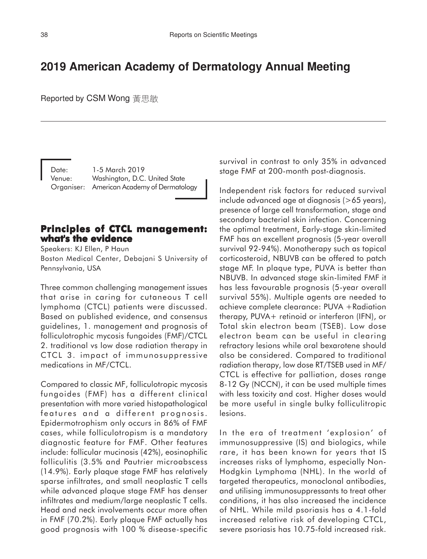# **2019 American Academy of Dermatology Annual Meeting**

Reported by CSM Wong 黃黒敏

Date: 1-5 March 2019 Venue: Washington, D.C. United State Organiser: American Academy of Dermatology

# **Principles of CTCL management: what's the evidence**

Speakers: KJ Ellen, P Haun Boston Medical Center, Debajani S University of Pennsylvania, USA

Three common challenging management issues that arise in caring for cutaneous T cell lymphoma (CTCL) patients were discussed. Based on published evidence, and consensus guidelines, 1. management and prognosis of folliculotrophic mycosis fungoides (FMF)/CTCL 2. traditional vs low dose radiation therapy in CTCL 3. impact of immunosuppressive medications in MF/CTCL.

Compared to classic MF, folliculotropic mycosis fungoides (FMF) has a different clinical presentation with more varied histopathological features and a different prognosis. Epidermotrophism only occurs in 86% of FMF cases, while folliculotropism is a mandatory diagnostic feature for FMF. Other features include: follicular mucinosis (42%), eosinophilic folliculitis (3.5% and Pautrier microabscess (14.9%). Early plaque stage FMF has relatively sparse infiltrates, and small neoplastic T cells while advanced plaque stage FMF has denser infiltrates and medium/large neoplastic T cells. Head and neck involvements occur more often in FMF (70.2%). Early plaque FMF actually has good prognosis with 100 % disease-specific survival in contrast to only 35% in advanced stage FMF at 200-month post-diagnosis.

Independent risk factors for reduced survival include advanced age at diagnosis (>65 years), presence of large cell transformation, stage and secondary bacterial skin infection. Concerning the optimal treatment, Early-stage skin-limited FMF has an excellent prognosis (5-year overall survival 92-94%). Monotherapy such as topical corticosteroid, NBUVB can be offered to patch stage MF. In plaque type, PUVA is better than NBUVB. In advanced stage skin-limited FMF it has less favourable prognosis (5-year overall survival 55%). Multiple agents are needed to achieve complete clearance: PUVA +Radiation therapy, PUVA+ retinoid or interferon (IFN), or Total skin electron beam (TSEB). Low dose electron beam can be useful in clearing refractory lesions while oral bexarotene should also be considered. Compared to traditional radiation therapy, low dose RT/TSEB used in MF/ CTCL is effective for palliation, doses range 8-12 Gy (NCCN), it can be used multiple times with less toxicity and cost. Higher doses would be more useful in single bulky folliculitropic lesions.

In the era of treatment 'explosion' of immunosuppressive (IS) and biologics, while rare, it has been known for years that IS increases risks of lymphoma, especially Non-Hodgkin Lymphoma (NHL). In the world of targeted therapeutics, monoclonal antibodies, and utilising immunosuppressants to treat other conditions, it has also increased the incidence of NHL. While mild psoriasis has a 4.1-fold increased relative risk of developing CTCL, severe psoriasis has 10.75-fold increased risk.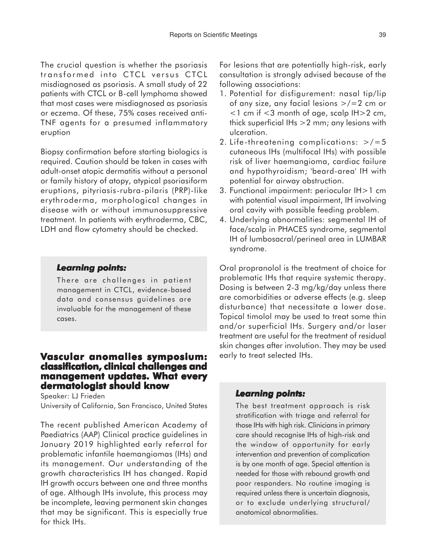The crucial question is whether the psoriasis transformed into CTCL versus CTCL misdiagnosed as psoriasis. A small study of 22 patients with CTCL or B-cell lymphoma showed that most cases were misdiagnosed as psoriasis or eczema. Of these, 75% cases received anti-TNF agents for a presumed inflammatory eruption

Biopsy confirmation before starting biologics is required. Caution should be taken in cases with adult-onset atopic dermatitis without a personal or family history of atopy, atypical psoriasiform eruptions, pityriasis-rubra-pilaris (PRP)-like erythroderma, morphological changes in disease with or without immunosuppressive treatment. In patients with erythroderma, CBC, LDH and flow cytometry should be checked.

#### *Learning points:*

There are challenges in patient management in CTCL, evidence-based data and consensus guidelines are invaluable for the management of these cases.

### **Vascular anomalies symposium: classification, clinical challenges and management updates. What every dermatologist should know**

Speaker: LJ Frieden University of California, San Francisco, United States

The recent published American Academy of Paediatrics (AAP) Clinical practice guidelines in January 2019 highlighted early referral for problematic infantile haemangiomas (IHs) and its management. Our understanding of the growth characteristics IH has changed. Rapid IH growth occurs between one and three months of age. Although IHs involute, this process may be incomplete, leaving permanent skin changes that may be significant. This is especially true for thick IHs.

For lesions that are potentially high-risk, early consultation is strongly advised because of the following associations:

- 1. Potential for disfigurement: nasal tip/lip of any size, any facial lesions >/=2 cm or  $<$ 1 cm if  $<$ 3 month of age, scalp IH $>$ 2 cm, thick superficial IHs >2 mm; any lesions with ulceration.
- 2. Life-threatening complications:  $>/-5$ cutaneous IHs (multifocal IHs) with possible risk of liver haemangioma, cardiac failure and hypothyroidism; 'beard-area' IH with potential for airway obstruction.
- 3. Functional impairment: periocular IH>1 cm with potential visual impairment, IH involving oral cavity with possible feeding problem.
- 4. Underlying abnormalities: segmental IH of face/scalp in PHACES syndrome, segmental IH of lumbosacral/perineal area in LUMBAR syndrome.

Oral propranolol is the treatment of choice for problematic IHs that require systemic therapy. Dosing is between 2-3 mg/kg/day unless there are comorbidities or adverse effects (e.g. sleep disturbance) that necessitate a lower dose. Topical timolol may be used to treat some thin and/or superficial IHs. Surgery and/or laser treatment are useful for the treatment of residual skin changes after involution. They may be used early to treat selected IHs.

#### *Learning points:*

The best treatment approach is risk stratification with triage and referral for those IHs with high risk. Clinicians in primary care should recognise IHs of high-risk and the window of opportunity for early intervention and prevention of complication is by one month of age. Special attention is needed for those with rebound growth and poor responders. No routine imaging is required unless there is uncertain diagnosis, or to exclude underlying structural/ anatomical abnormalities.